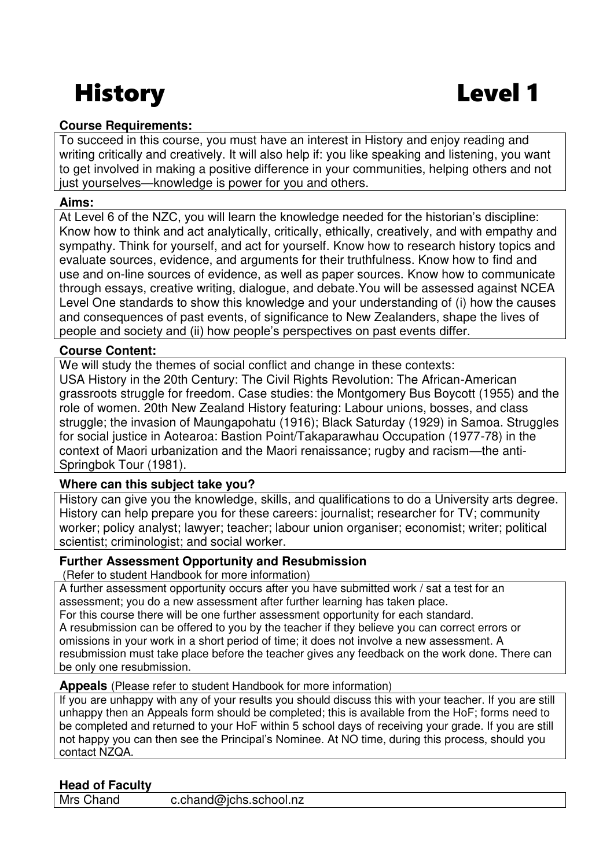# History Level 1

# **Course Requirements:**

To succeed in this course, you must have an interest in History and enjoy reading and writing critically and creatively. It will also help if: you like speaking and listening, you want to get involved in making a positive difference in your communities, helping others and not just yourselves—knowledge is power for you and others.

#### **Aims:**

At Level 6 of the NZC, you will learn the knowledge needed for the historian's discipline: Know how to think and act analytically, critically, ethically, creatively, and with empathy and sympathy. Think for yourself, and act for yourself. Know how to research history topics and evaluate sources, evidence, and arguments for their truthfulness. Know how to find and use and on-line sources of evidence, as well as paper sources. Know how to communicate through essays, creative writing, dialogue, and debate.You will be assessed against NCEA Level One standards to show this knowledge and your understanding of (i) how the causes and consequences of past events, of significance to New Zealanders, shape the lives of people and society and (ii) how people's perspectives on past events differ.

## **Course Content:**

We will study the themes of social conflict and change in these contexts: USA History in the 20th Century: The Civil Rights Revolution: The African-American grassroots struggle for freedom. Case studies: the Montgomery Bus Boycott (1955) and the role of women. 20th New Zealand History featuring: Labour unions, bosses, and class struggle; the invasion of Maungapohatu (1916); Black Saturday (1929) in Samoa. Struggles for social justice in Aotearoa: Bastion Point/Takaparawhau Occupation (1977-78) in the context of Maori urbanization and the Maori renaissance; rugby and racism—the anti-Springbok Tour (1981).

# **Where can this subject take you?**

History can give you the knowledge, skills, and qualifications to do a University arts degree. History can help prepare you for these careers: journalist; researcher for TV; community worker; policy analyst; lawyer; teacher; labour union organiser; economist; writer; political scientist; criminologist; and social worker.

### **Further Assessment Opportunity and Resubmission**

(Refer to student Handbook for more information)

A further assessment opportunity occurs after you have submitted work / sat a test for an assessment; you do a new assessment after further learning has taken place. For this course there will be one further assessment opportunity for each standard. A resubmission can be offered to you by the teacher if they believe you can correct errors or omissions in your work in a short period of time; it does not involve a new assessment. A resubmission must take place before the teacher gives any feedback on the work done. There can be only one resubmission.

### **Appeals** (Please refer to student Handbook for more information)

If you are unhappy with any of your results you should discuss this with your teacher. If you are still unhappy then an Appeals form should be completed; this is available from the HoF; forms need to be completed and returned to your HoF within 5 school days of receiving your grade. If you are still not happy you can then see the Principal's Nominee. At NO time, during this process, should you contact NZQA.

# **Head of Faculty**

Mrs Chand c.chand@ichs.school.nz